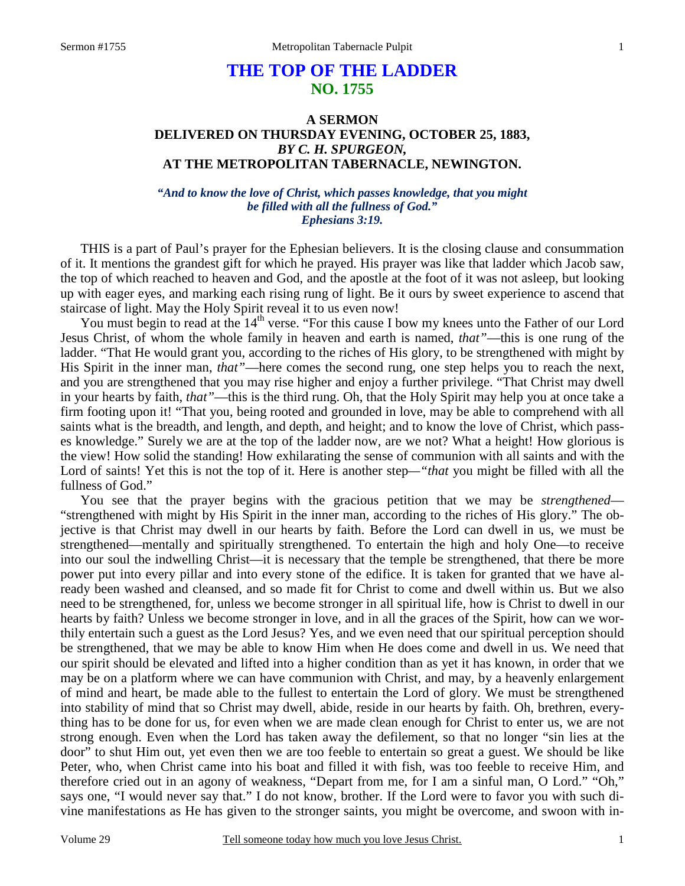# **THE TOP OF THE LADDER NO. 1755**

## **A SERMON DELIVERED ON THURSDAY EVENING, OCTOBER 25, 1883,**  *BY C. H. SPURGEON,*  **AT THE METROPOLITAN TABERNACLE, NEWINGTON.**

### *"And to know the love of Christ, which passes knowledge, that you might be filled with all the fullness of God." Ephesians 3:19.*

THIS is a part of Paul's prayer for the Ephesian believers. It is the closing clause and consummation of it. It mentions the grandest gift for which he prayed. His prayer was like that ladder which Jacob saw, the top of which reached to heaven and God, and the apostle at the foot of it was not asleep, but looking up with eager eyes, and marking each rising rung of light. Be it ours by sweet experience to ascend that staircase of light. May the Holy Spirit reveal it to us even now!

You must begin to read at the 14<sup>th</sup> verse. "For this cause I bow my knees unto the Father of our Lord Jesus Christ, of whom the whole family in heaven and earth is named, *that"*—this is one rung of the ladder. "That He would grant you, according to the riches of His glory, to be strengthened with might by His Spirit in the inner man, *that"*—here comes the second rung, one step helps you to reach the next, and you are strengthened that you may rise higher and enjoy a further privilege. "That Christ may dwell in your hearts by faith, *that"*—this is the third rung. Oh, that the Holy Spirit may help you at once take a firm footing upon it! "That you, being rooted and grounded in love, may be able to comprehend with all saints what is the breadth, and length, and depth, and height; and to know the love of Christ, which passes knowledge." Surely we are at the top of the ladder now, are we not? What a height! How glorious is the view! How solid the standing! How exhilarating the sense of communion with all saints and with the Lord of saints! Yet this is not the top of it. Here is another step*—"that* you might be filled with all the fullness of God."

 You see that the prayer begins with the gracious petition that we may be *strengthened*— "strengthened with might by His Spirit in the inner man, according to the riches of His glory." The objective is that Christ may dwell in our hearts by faith. Before the Lord can dwell in us, we must be strengthened—mentally and spiritually strengthened. To entertain the high and holy One—to receive into our soul the indwelling Christ—it is necessary that the temple be strengthened, that there be more power put into every pillar and into every stone of the edifice. It is taken for granted that we have already been washed and cleansed, and so made fit for Christ to come and dwell within us. But we also need to be strengthened, for, unless we become stronger in all spiritual life, how is Christ to dwell in our hearts by faith? Unless we become stronger in love, and in all the graces of the Spirit, how can we worthily entertain such a guest as the Lord Jesus? Yes, and we even need that our spiritual perception should be strengthened, that we may be able to know Him when He does come and dwell in us. We need that our spirit should be elevated and lifted into a higher condition than as yet it has known, in order that we may be on a platform where we can have communion with Christ, and may, by a heavenly enlargement of mind and heart, be made able to the fullest to entertain the Lord of glory. We must be strengthened into stability of mind that so Christ may dwell, abide, reside in our hearts by faith. Oh, brethren, everything has to be done for us, for even when we are made clean enough for Christ to enter us, we are not strong enough. Even when the Lord has taken away the defilement, so that no longer "sin lies at the door" to shut Him out, yet even then we are too feeble to entertain so great a guest. We should be like Peter, who, when Christ came into his boat and filled it with fish, was too feeble to receive Him, and therefore cried out in an agony of weakness, "Depart from me, for I am a sinful man, O Lord." "Oh," says one, "I would never say that." I do not know, brother. If the Lord were to favor you with such divine manifestations as He has given to the stronger saints, you might be overcome, and swoon with in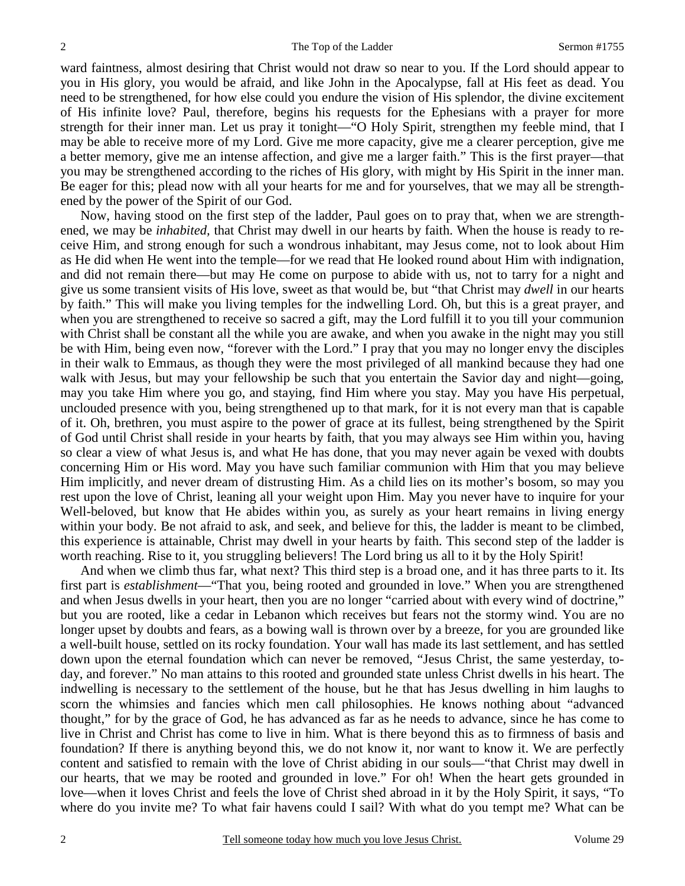ward faintness, almost desiring that Christ would not draw so near to you. If the Lord should appear to you in His glory, you would be afraid, and like John in the Apocalypse, fall at His feet as dead. You need to be strengthened, for how else could you endure the vision of His splendor, the divine excitement of His infinite love? Paul, therefore, begins his requests for the Ephesians with a prayer for more strength for their inner man. Let us pray it tonight—"O Holy Spirit, strengthen my feeble mind, that I may be able to receive more of my Lord. Give me more capacity, give me a clearer perception, give me a better memory, give me an intense affection, and give me a larger faith." This is the first prayer—that you may be strengthened according to the riches of His glory, with might by His Spirit in the inner man. Be eager for this; plead now with all your hearts for me and for yourselves, that we may all be strengthened by the power of the Spirit of our God.

 Now, having stood on the first step of the ladder, Paul goes on to pray that, when we are strengthened, we may be *inhabited,* that Christ may dwell in our hearts by faith. When the house is ready to receive Him, and strong enough for such a wondrous inhabitant, may Jesus come, not to look about Him as He did when He went into the temple—for we read that He looked round about Him with indignation, and did not remain there—but may He come on purpose to abide with us, not to tarry for a night and give us some transient visits of His love, sweet as that would be, but "that Christ may *dwell* in our hearts by faith." This will make you living temples for the indwelling Lord. Oh, but this is a great prayer, and when you are strengthened to receive so sacred a gift, may the Lord fulfill it to you till your communion with Christ shall be constant all the while you are awake, and when you awake in the night may you still be with Him, being even now, "forever with the Lord." I pray that you may no longer envy the disciples in their walk to Emmaus, as though they were the most privileged of all mankind because they had one walk with Jesus, but may your fellowship be such that you entertain the Savior day and night—going, may you take Him where you go, and staying, find Him where you stay. May you have His perpetual, unclouded presence with you, being strengthened up to that mark, for it is not every man that is capable of it. Oh, brethren, you must aspire to the power of grace at its fullest, being strengthened by the Spirit of God until Christ shall reside in your hearts by faith, that you may always see Him within you, having so clear a view of what Jesus is, and what He has done, that you may never again be vexed with doubts concerning Him or His word. May you have such familiar communion with Him that you may believe Him implicitly, and never dream of distrusting Him. As a child lies on its mother's bosom, so may you rest upon the love of Christ, leaning all your weight upon Him. May you never have to inquire for your Well-beloved, but know that He abides within you, as surely as your heart remains in living energy within your body. Be not afraid to ask, and seek, and believe for this, the ladder is meant to be climbed, this experience is attainable, Christ may dwell in your hearts by faith. This second step of the ladder is worth reaching. Rise to it, you struggling believers! The Lord bring us all to it by the Holy Spirit!

 And when we climb thus far, what next? This third step is a broad one, and it has three parts to it. Its first part is *establishment*—"That you, being rooted and grounded in love." When you are strengthened and when Jesus dwells in your heart, then you are no longer "carried about with every wind of doctrine," but you are rooted, like a cedar in Lebanon which receives but fears not the stormy wind. You are no longer upset by doubts and fears, as a bowing wall is thrown over by a breeze, for you are grounded like a well-built house, settled on its rocky foundation. Your wall has made its last settlement, and has settled down upon the eternal foundation which can never be removed, "Jesus Christ, the same yesterday, today, and forever." No man attains to this rooted and grounded state unless Christ dwells in his heart. The indwelling is necessary to the settlement of the house, but he that has Jesus dwelling in him laughs to scorn the whimsies and fancies which men call philosophies. He knows nothing about "advanced thought," for by the grace of God, he has advanced as far as he needs to advance, since he has come to live in Christ and Christ has come to live in him. What is there beyond this as to firmness of basis and foundation? If there is anything beyond this, we do not know it, nor want to know it. We are perfectly content and satisfied to remain with the love of Christ abiding in our souls—"that Christ may dwell in our hearts, that we may be rooted and grounded in love." For oh! When the heart gets grounded in love—when it loves Christ and feels the love of Christ shed abroad in it by the Holy Spirit, it says, "To where do you invite me? To what fair havens could I sail? With what do you tempt me? What can be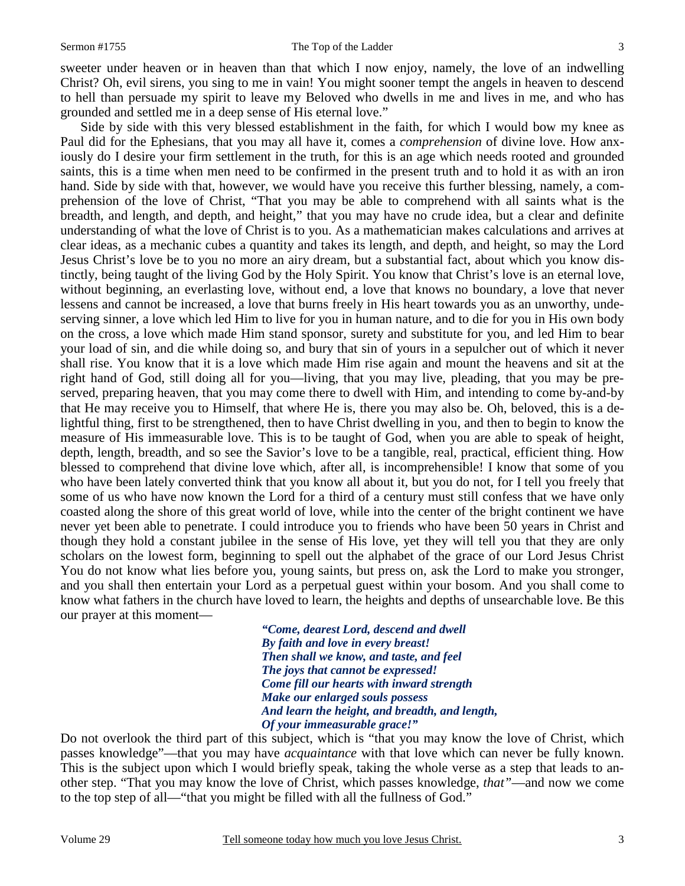#### Sermon #1755 The Top of the Ladder 3

sweeter under heaven or in heaven than that which I now enjoy, namely, the love of an indwelling Christ? Oh, evil sirens, you sing to me in vain! You might sooner tempt the angels in heaven to descend to hell than persuade my spirit to leave my Beloved who dwells in me and lives in me, and who has grounded and settled me in a deep sense of His eternal love."

 Side by side with this very blessed establishment in the faith, for which I would bow my knee as Paul did for the Ephesians, that you may all have it, comes a *comprehension* of divine love. How anxiously do I desire your firm settlement in the truth, for this is an age which needs rooted and grounded saints, this is a time when men need to be confirmed in the present truth and to hold it as with an iron hand. Side by side with that, however, we would have you receive this further blessing, namely, a comprehension of the love of Christ, "That you may be able to comprehend with all saints what is the breadth, and length, and depth, and height," that you may have no crude idea, but a clear and definite understanding of what the love of Christ is to you. As a mathematician makes calculations and arrives at clear ideas, as a mechanic cubes a quantity and takes its length, and depth, and height, so may the Lord Jesus Christ's love be to you no more an airy dream, but a substantial fact, about which you know distinctly, being taught of the living God by the Holy Spirit. You know that Christ's love is an eternal love, without beginning, an everlasting love, without end, a love that knows no boundary, a love that never lessens and cannot be increased, a love that burns freely in His heart towards you as an unworthy, undeserving sinner, a love which led Him to live for you in human nature, and to die for you in His own body on the cross, a love which made Him stand sponsor, surety and substitute for you, and led Him to bear your load of sin, and die while doing so, and bury that sin of yours in a sepulcher out of which it never shall rise. You know that it is a love which made Him rise again and mount the heavens and sit at the right hand of God, still doing all for you—living, that you may live, pleading, that you may be preserved, preparing heaven, that you may come there to dwell with Him, and intending to come by-and-by that He may receive you to Himself, that where He is, there you may also be. Oh, beloved, this is a delightful thing, first to be strengthened, then to have Christ dwelling in you, and then to begin to know the measure of His immeasurable love. This is to be taught of God, when you are able to speak of height, depth, length, breadth, and so see the Savior's love to be a tangible, real, practical, efficient thing. How blessed to comprehend that divine love which, after all, is incomprehensible! I know that some of you who have been lately converted think that you know all about it, but you do not, for I tell you freely that some of us who have now known the Lord for a third of a century must still confess that we have only coasted along the shore of this great world of love, while into the center of the bright continent we have never yet been able to penetrate. I could introduce you to friends who have been 50 years in Christ and though they hold a constant jubilee in the sense of His love, yet they will tell you that they are only scholars on the lowest form, beginning to spell out the alphabet of the grace of our Lord Jesus Christ You do not know what lies before you, young saints, but press on, ask the Lord to make you stronger, and you shall then entertain your Lord as a perpetual guest within your bosom. And you shall come to know what fathers in the church have loved to learn, the heights and depths of unsearchable love. Be this our prayer at this moment—

> *"Come, dearest Lord, descend and dwell By faith and love in every breast! Then shall we know, and taste, and feel The joys that cannot be expressed! Come fill our hearts with inward strength Make our enlarged souls possess And learn the height, and breadth, and length, Of your immeasurable grace!"*

Do not overlook the third part of this subject, which is "that you may know the love of Christ, which passes knowledge"—that you may have *acquaintance* with that love which can never be fully known. This is the subject upon which I would briefly speak, taking the whole verse as a step that leads to another step. "That you may know the love of Christ, which passes knowledge, *that"*—and now we come to the top step of all—"that you might be filled with all the fullness of God."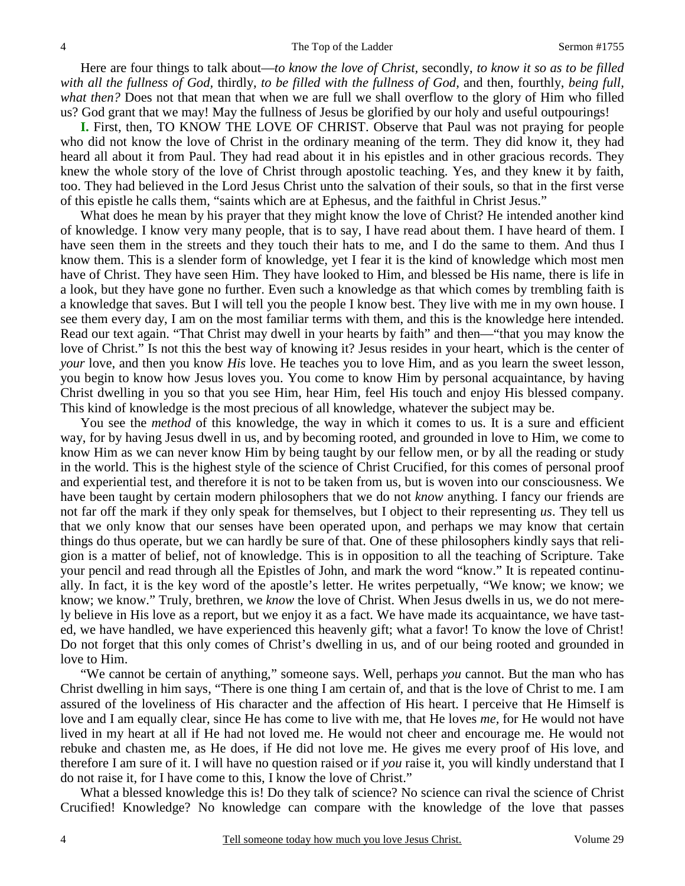Here are four things to talk about—*to know the love of Christ,* secondly, *to know it so as to be filled with all the fullness of God,* thirdly, *to be filled with the fullness of God,* and then, fourthly, *being full, what then?* Does not that mean that when we are full we shall overflow to the glory of Him who filled us? God grant that we may! May the fullness of Jesus be glorified by our holy and useful outpourings!

**I.** First, then, TO KNOW THE LOVE OF CHRIST. Observe that Paul was not praying for people who did not know the love of Christ in the ordinary meaning of the term. They did know it, they had heard all about it from Paul. They had read about it in his epistles and in other gracious records. They knew the whole story of the love of Christ through apostolic teaching. Yes, and they knew it by faith, too. They had believed in the Lord Jesus Christ unto the salvation of their souls, so that in the first verse of this epistle he calls them, "saints which are at Ephesus, and the faithful in Christ Jesus."

 What does he mean by his prayer that they might know the love of Christ? He intended another kind of knowledge. I know very many people, that is to say, I have read about them. I have heard of them. I have seen them in the streets and they touch their hats to me, and I do the same to them. And thus I know them. This is a slender form of knowledge, yet I fear it is the kind of knowledge which most men have of Christ. They have seen Him. They have looked to Him, and blessed be His name, there is life in a look, but they have gone no further. Even such a knowledge as that which comes by trembling faith is a knowledge that saves. But I will tell you the people I know best. They live with me in my own house. I see them every day, I am on the most familiar terms with them, and this is the knowledge here intended. Read our text again. "That Christ may dwell in your hearts by faith" and then—"that you may know the love of Christ." Is not this the best way of knowing it? Jesus resides in your heart, which is the center of *your* love, and then you know *His* love. He teaches you to love Him, and as you learn the sweet lesson, you begin to know how Jesus loves you. You come to know Him by personal acquaintance, by having Christ dwelling in you so that you see Him, hear Him, feel His touch and enjoy His blessed company. This kind of knowledge is the most precious of all knowledge, whatever the subject may be.

You see the *method* of this knowledge, the way in which it comes to us. It is a sure and efficient way, for by having Jesus dwell in us, and by becoming rooted, and grounded in love to Him, we come to know Him as we can never know Him by being taught by our fellow men, or by all the reading or study in the world. This is the highest style of the science of Christ Crucified, for this comes of personal proof and experiential test, and therefore it is not to be taken from us, but is woven into our consciousness. We have been taught by certain modern philosophers that we do not *know* anything. I fancy our friends are not far off the mark if they only speak for themselves, but I object to their representing *us*. They tell us that we only know that our senses have been operated upon, and perhaps we may know that certain things do thus operate, but we can hardly be sure of that. One of these philosophers kindly says that religion is a matter of belief, not of knowledge. This is in opposition to all the teaching of Scripture. Take your pencil and read through all the Epistles of John, and mark the word "know." It is repeated continually. In fact, it is the key word of the apostle's letter. He writes perpetually, "We know; we know; we know; we know." Truly, brethren, we *know* the love of Christ. When Jesus dwells in us, we do not merely believe in His love as a report, but we enjoy it as a fact. We have made its acquaintance, we have tasted, we have handled, we have experienced this heavenly gift; what a favor! To know the love of Christ! Do not forget that this only comes of Christ's dwelling in us, and of our being rooted and grounded in love to Him.

 "We cannot be certain of anything," someone says. Well, perhaps *you* cannot. But the man who has Christ dwelling in him says, "There is one thing I am certain of, and that is the love of Christ to me. I am assured of the loveliness of His character and the affection of His heart. I perceive that He Himself is love and I am equally clear, since He has come to live with me, that He loves *me,* for He would not have lived in my heart at all if He had not loved me. He would not cheer and encourage me. He would not rebuke and chasten me, as He does, if He did not love me. He gives me every proof of His love, and therefore I am sure of it. I will have no question raised or if *you* raise it, you will kindly understand that I do not raise it, for I have come to this, I know the love of Christ."

 What a blessed knowledge this is! Do they talk of science? No science can rival the science of Christ Crucified! Knowledge? No knowledge can compare with the knowledge of the love that passes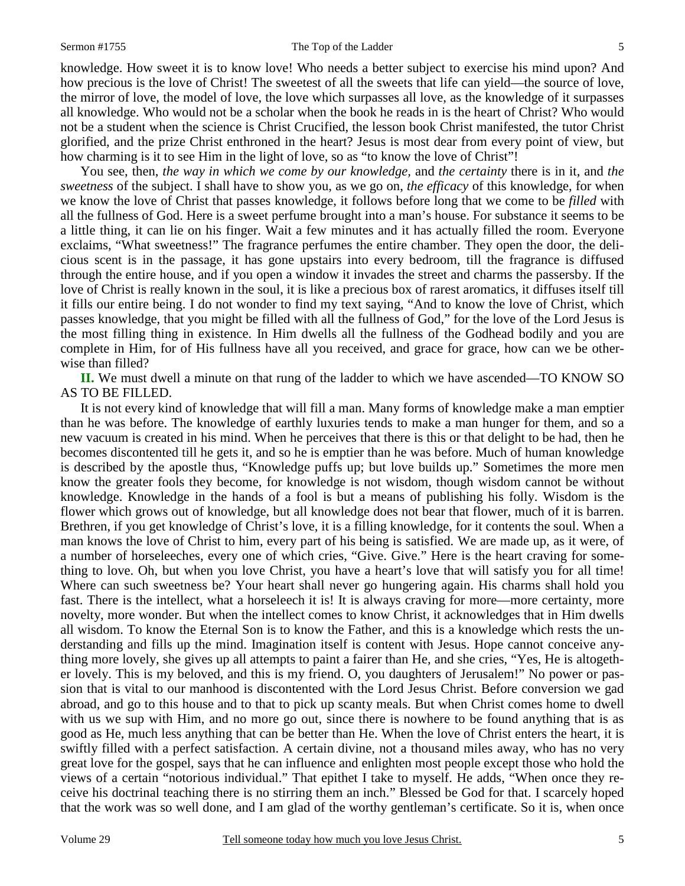#### Sermon #1755 The Top of the Ladder 5

knowledge. How sweet it is to know love! Who needs a better subject to exercise his mind upon? And how precious is the love of Christ! The sweetest of all the sweets that life can yield—the source of love, the mirror of love, the model of love, the love which surpasses all love, as the knowledge of it surpasses all knowledge. Who would not be a scholar when the book he reads in is the heart of Christ? Who would not be a student when the science is Christ Crucified, the lesson book Christ manifested, the tutor Christ glorified, and the prize Christ enthroned in the heart? Jesus is most dear from every point of view, but how charming is it to see Him in the light of love, so as "to know the love of Christ"!

 You see, then, *the way in which we come by our knowledge,* and *the certainty* there is in it, and *the sweetness* of the subject. I shall have to show you, as we go on, *the efficacy* of this knowledge, for when we know the love of Christ that passes knowledge, it follows before long that we come to be *filled* with all the fullness of God. Here is a sweet perfume brought into a man's house. For substance it seems to be a little thing, it can lie on his finger. Wait a few minutes and it has actually filled the room. Everyone exclaims, "What sweetness!" The fragrance perfumes the entire chamber. They open the door, the delicious scent is in the passage, it has gone upstairs into every bedroom, till the fragrance is diffused through the entire house, and if you open a window it invades the street and charms the passersby. If the love of Christ is really known in the soul, it is like a precious box of rarest aromatics, it diffuses itself till it fills our entire being. I do not wonder to find my text saying, "And to know the love of Christ, which passes knowledge, that you might be filled with all the fullness of God," for the love of the Lord Jesus is the most filling thing in existence. In Him dwells all the fullness of the Godhead bodily and you are complete in Him, for of His fullness have all you received, and grace for grace, how can we be otherwise than filled?

**II.** We must dwell a minute on that rung of the ladder to which we have ascended—TO KNOW SO AS TO BE FILLED.

 It is not every kind of knowledge that will fill a man. Many forms of knowledge make a man emptier than he was before. The knowledge of earthly luxuries tends to make a man hunger for them, and so a new vacuum is created in his mind. When he perceives that there is this or that delight to be had, then he becomes discontented till he gets it, and so he is emptier than he was before. Much of human knowledge is described by the apostle thus, "Knowledge puffs up; but love builds up." Sometimes the more men know the greater fools they become, for knowledge is not wisdom, though wisdom cannot be without knowledge. Knowledge in the hands of a fool is but a means of publishing his folly. Wisdom is the flower which grows out of knowledge, but all knowledge does not bear that flower, much of it is barren. Brethren, if you get knowledge of Christ's love, it is a filling knowledge, for it contents the soul. When a man knows the love of Christ to him, every part of his being is satisfied. We are made up, as it were, of a number of horseleeches, every one of which cries, "Give. Give." Here is the heart craving for something to love. Oh, but when you love Christ, you have a heart's love that will satisfy you for all time! Where can such sweetness be? Your heart shall never go hungering again. His charms shall hold you fast. There is the intellect, what a horseleech it is! It is always craving for more—more certainty, more novelty, more wonder. But when the intellect comes to know Christ, it acknowledges that in Him dwells all wisdom. To know the Eternal Son is to know the Father, and this is a knowledge which rests the understanding and fills up the mind. Imagination itself is content with Jesus. Hope cannot conceive anything more lovely, she gives up all attempts to paint a fairer than He, and she cries, "Yes, He is altogether lovely. This is my beloved, and this is my friend. O, you daughters of Jerusalem!" No power or passion that is vital to our manhood is discontented with the Lord Jesus Christ. Before conversion we gad abroad, and go to this house and to that to pick up scanty meals. But when Christ comes home to dwell with us we sup with Him, and no more go out, since there is nowhere to be found anything that is as good as He, much less anything that can be better than He. When the love of Christ enters the heart, it is swiftly filled with a perfect satisfaction. A certain divine, not a thousand miles away, who has no very great love for the gospel, says that he can influence and enlighten most people except those who hold the views of a certain "notorious individual." That epithet I take to myself. He adds, "When once they receive his doctrinal teaching there is no stirring them an inch." Blessed be God for that. I scarcely hoped that the work was so well done, and I am glad of the worthy gentleman's certificate. So it is, when once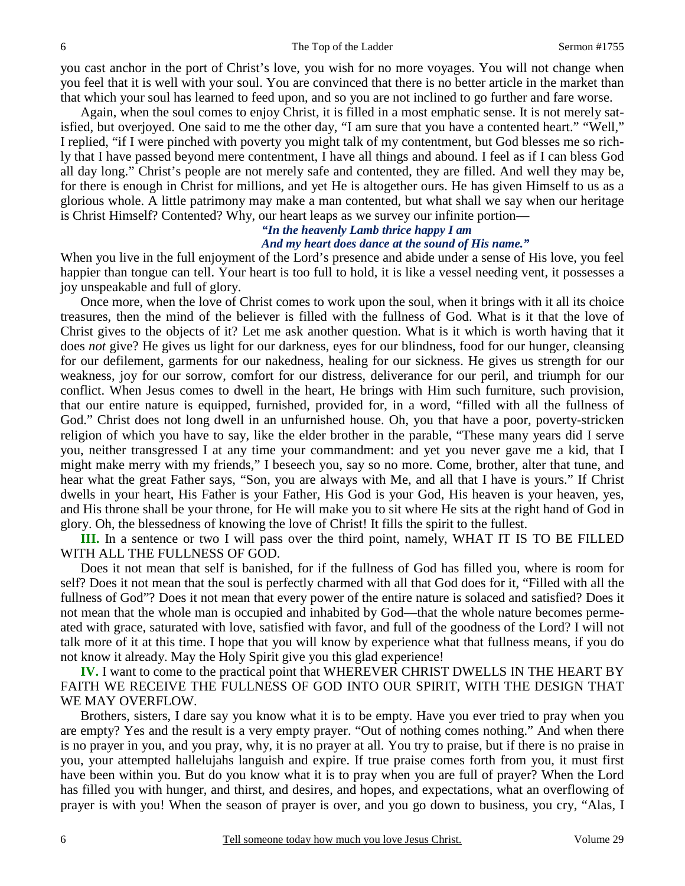you cast anchor in the port of Christ's love, you wish for no more voyages. You will not change when you feel that it is well with your soul. You are convinced that there is no better article in the market than that which your soul has learned to feed upon, and so you are not inclined to go further and fare worse.

 Again, when the soul comes to enjoy Christ, it is filled in a most emphatic sense. It is not merely satisfied, but overjoyed. One said to me the other day, "I am sure that you have a contented heart." "Well," I replied, "if I were pinched with poverty you might talk of my contentment, but God blesses me so richly that I have passed beyond mere contentment, I have all things and abound. I feel as if I can bless God all day long." Christ's people are not merely safe and contented, they are filled. And well they may be, for there is enough in Christ for millions, and yet He is altogether ours. He has given Himself to us as a glorious whole. A little patrimony may make a man contented, but what shall we say when our heritage is Christ Himself? Contented? Why, our heart leaps as we survey our infinite portion—

# *"In the heavenly Lamb thrice happy I am*

## *And my heart does dance at the sound of His name."*

When you live in the full enjoyment of the Lord's presence and abide under a sense of His love, you feel happier than tongue can tell. Your heart is too full to hold, it is like a vessel needing vent, it possesses a joy unspeakable and full of glory.

 Once more, when the love of Christ comes to work upon the soul, when it brings with it all its choice treasures, then the mind of the believer is filled with the fullness of God. What is it that the love of Christ gives to the objects of it? Let me ask another question. What is it which is worth having that it does *not* give? He gives us light for our darkness, eyes for our blindness, food for our hunger, cleansing for our defilement, garments for our nakedness, healing for our sickness. He gives us strength for our weakness, joy for our sorrow, comfort for our distress, deliverance for our peril, and triumph for our conflict. When Jesus comes to dwell in the heart, He brings with Him such furniture, such provision, that our entire nature is equipped, furnished, provided for, in a word, "filled with all the fullness of God." Christ does not long dwell in an unfurnished house. Oh, you that have a poor, poverty-stricken religion of which you have to say, like the elder brother in the parable, "These many years did I serve you, neither transgressed I at any time your commandment: and yet you never gave me a kid, that I might make merry with my friends," I beseech you, say so no more. Come, brother, alter that tune, and hear what the great Father says, "Son, you are always with Me, and all that I have is yours." If Christ dwells in your heart, His Father is your Father, His God is your God, His heaven is your heaven, yes, and His throne shall be your throne, for He will make you to sit where He sits at the right hand of God in glory. Oh, the blessedness of knowing the love of Christ! It fills the spirit to the fullest.

**III.** In a sentence or two I will pass over the third point, namely, WHAT IT IS TO BE FILLED WITH ALL THE FULLNESS OF GOD.

 Does it not mean that self is banished, for if the fullness of God has filled you, where is room for self? Does it not mean that the soul is perfectly charmed with all that God does for it, "Filled with all the fullness of God"? Does it not mean that every power of the entire nature is solaced and satisfied? Does it not mean that the whole man is occupied and inhabited by God—that the whole nature becomes permeated with grace, saturated with love, satisfied with favor, and full of the goodness of the Lord? I will not talk more of it at this time. I hope that you will know by experience what that fullness means, if you do not know it already. May the Holy Spirit give you this glad experience!

**IV.** I want to come to the practical point that WHEREVER CHRIST DWELLS IN THE HEART BY FAITH WE RECEIVE THE FULLNESS OF GOD INTO OUR SPIRIT, WITH THE DESIGN THAT WE MAY OVERFLOW.

 Brothers, sisters, I dare say you know what it is to be empty. Have you ever tried to pray when you are empty? Yes and the result is a very empty prayer. "Out of nothing comes nothing." And when there is no prayer in you, and you pray, why, it is no prayer at all. You try to praise, but if there is no praise in you, your attempted hallelujahs languish and expire. If true praise comes forth from you, it must first have been within you. But do you know what it is to pray when you are full of prayer? When the Lord has filled you with hunger, and thirst, and desires, and hopes, and expectations, what an overflowing of prayer is with you! When the season of prayer is over, and you go down to business, you cry, "Alas, I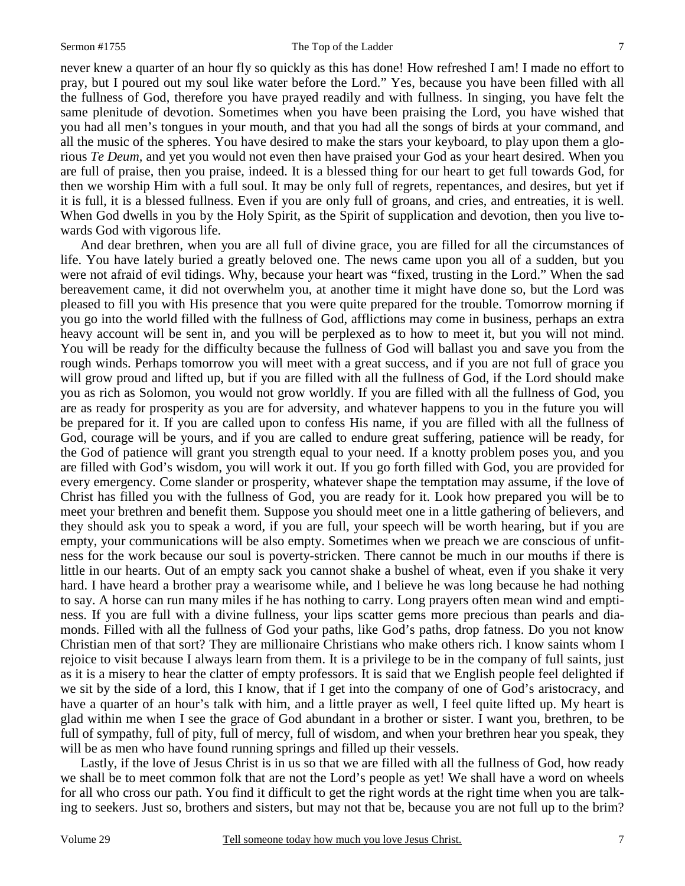### Sermon #1755 The Top of the Ladder 7

never knew a quarter of an hour fly so quickly as this has done! How refreshed I am! I made no effort to pray, but I poured out my soul like water before the Lord." Yes, because you have been filled with all the fullness of God, therefore you have prayed readily and with fullness. In singing, you have felt the same plenitude of devotion. Sometimes when you have been praising the Lord, you have wished that you had all men's tongues in your mouth, and that you had all the songs of birds at your command, and all the music of the spheres. You have desired to make the stars your keyboard, to play upon them a glorious *Te Deum,* and yet you would not even then have praised your God as your heart desired. When you are full of praise, then you praise, indeed. It is a blessed thing for our heart to get full towards God, for then we worship Him with a full soul. It may be only full of regrets, repentances, and desires, but yet if it is full, it is a blessed fullness. Even if you are only full of groans, and cries, and entreaties, it is well. When God dwells in you by the Holy Spirit, as the Spirit of supplication and devotion, then you live towards God with vigorous life.

 And dear brethren, when you are all full of divine grace, you are filled for all the circumstances of life. You have lately buried a greatly beloved one. The news came upon you all of a sudden, but you were not afraid of evil tidings. Why, because your heart was "fixed, trusting in the Lord." When the sad bereavement came, it did not overwhelm you, at another time it might have done so, but the Lord was pleased to fill you with His presence that you were quite prepared for the trouble. Tomorrow morning if you go into the world filled with the fullness of God, afflictions may come in business, perhaps an extra heavy account will be sent in, and you will be perplexed as to how to meet it, but you will not mind. You will be ready for the difficulty because the fullness of God will ballast you and save you from the rough winds. Perhaps tomorrow you will meet with a great success, and if you are not full of grace you will grow proud and lifted up, but if you are filled with all the fullness of God, if the Lord should make you as rich as Solomon, you would not grow worldly. If you are filled with all the fullness of God, you are as ready for prosperity as you are for adversity, and whatever happens to you in the future you will be prepared for it. If you are called upon to confess His name, if you are filled with all the fullness of God, courage will be yours, and if you are called to endure great suffering, patience will be ready, for the God of patience will grant you strength equal to your need. If a knotty problem poses you, and you are filled with God's wisdom, you will work it out. If you go forth filled with God, you are provided for every emergency. Come slander or prosperity, whatever shape the temptation may assume, if the love of Christ has filled you with the fullness of God, you are ready for it. Look how prepared you will be to meet your brethren and benefit them. Suppose you should meet one in a little gathering of believers, and they should ask you to speak a word, if you are full, your speech will be worth hearing, but if you are empty, your communications will be also empty. Sometimes when we preach we are conscious of unfitness for the work because our soul is poverty-stricken. There cannot be much in our mouths if there is little in our hearts. Out of an empty sack you cannot shake a bushel of wheat, even if you shake it very hard. I have heard a brother pray a wearisome while, and I believe he was long because he had nothing to say. A horse can run many miles if he has nothing to carry. Long prayers often mean wind and emptiness. If you are full with a divine fullness, your lips scatter gems more precious than pearls and diamonds. Filled with all the fullness of God your paths, like God's paths, drop fatness. Do you not know Christian men of that sort? They are millionaire Christians who make others rich. I know saints whom I rejoice to visit because I always learn from them. It is a privilege to be in the company of full saints, just as it is a misery to hear the clatter of empty professors. It is said that we English people feel delighted if we sit by the side of a lord, this I know, that if I get into the company of one of God's aristocracy, and have a quarter of an hour's talk with him, and a little prayer as well, I feel quite lifted up. My heart is glad within me when I see the grace of God abundant in a brother or sister. I want you, brethren, to be full of sympathy, full of pity, full of mercy, full of wisdom, and when your brethren hear you speak, they will be as men who have found running springs and filled up their vessels.

 Lastly, if the love of Jesus Christ is in us so that we are filled with all the fullness of God, how ready we shall be to meet common folk that are not the Lord's people as yet! We shall have a word on wheels for all who cross our path. You find it difficult to get the right words at the right time when you are talking to seekers. Just so, brothers and sisters, but may not that be, because you are not full up to the brim?